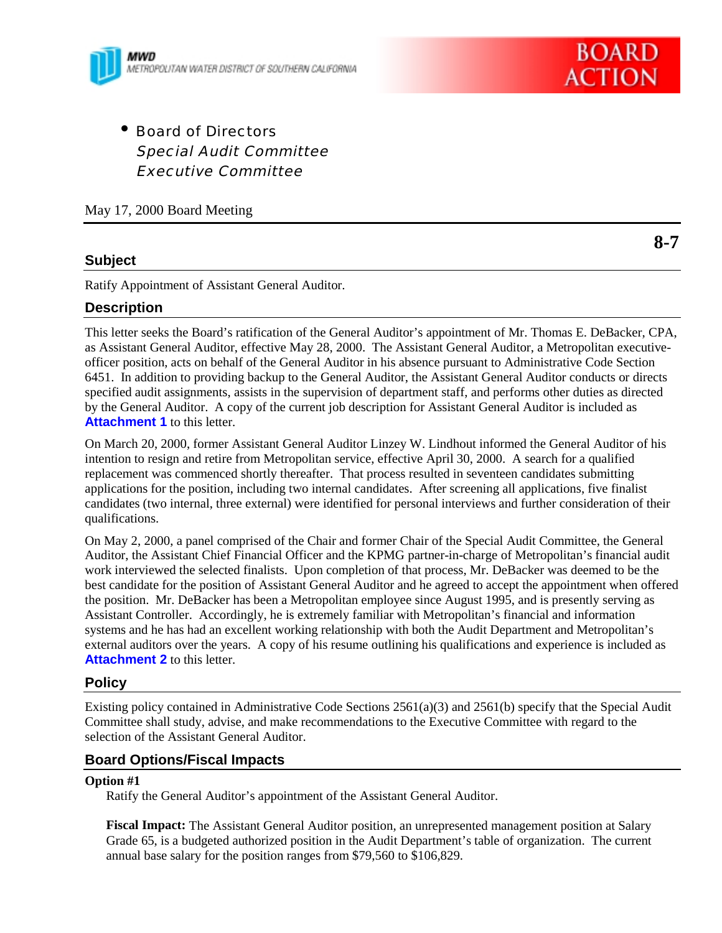

• Board of Directors Special Audit Committee Executive Committee

May 17, 2000 Board Meeting

# **Subject**

Ratify Appointment of Assistant General Auditor.

#### **Description**

This letter seeks the Board's ratification of the General Auditor's appointment of Mr. Thomas E. DeBacker, CPA, as Assistant General Auditor, effective May 28, 2000. The Assistant General Auditor, a Metropolitan executiveofficer position, acts on behalf of the General Auditor in his absence pursuant to Administrative Code Section 6451. In addition to providing backup to the General Auditor, the Assistant General Auditor conducts or directs specified audit assignments, assists in the supervision of department staff, and performs other duties as directed by the General Auditor. A copy of the current job description for Assistant General Auditor is included as **Attachment 1** to this letter.

On March 20, 2000, former Assistant General Auditor Linzey W. Lindhout informed the General Auditor of his intention to resign and retire from Metropolitan service, effective April 30, 2000. A search for a qualified replacement was commenced shortly thereafter. That process resulted in seventeen candidates submitting applications for the position, including two internal candidates. After screening all applications, five finalist candidates (two internal, three external) were identified for personal interviews and further consideration of their qualifications.

On May 2, 2000, a panel comprised of the Chair and former Chair of the Special Audit Committee, the General Auditor, the Assistant Chief Financial Officer and the KPMG partner-in-charge of Metropolitan's financial audit work interviewed the selected finalists. Upon completion of that process, Mr. DeBacker was deemed to be the best candidate for the position of Assistant General Auditor and he agreed to accept the appointment when offered the position. Mr. DeBacker has been a Metropolitan employee since August 1995, and is presently serving as Assistant Controller. Accordingly, he is extremely familiar with Metropolitan's financial and information systems and he has had an excellent working relationship with both the Audit Department and Metropolitan's external auditors over the years. A copy of his resume outlining his qualifications and experience is included as **Attachment 2** to this letter.

#### **Policy**

Existing policy contained in Administrative Code Sections 2561(a)(3) and 2561(b) specify that the Special Audit Committee shall study, advise, and make recommendations to the Executive Committee with regard to the selection of the Assistant General Auditor.

#### **Board Options/Fiscal Impacts**

#### **Option #1**

Ratify the General Auditor's appointment of the Assistant General Auditor.

**Fiscal Impact:** The Assistant General Auditor position, an unrepresented management position at Salary Grade 65, is a budgeted authorized position in the Audit Department's table of organization. The current annual base salary for the position ranges from \$79,560 to \$106,829.

**8-7**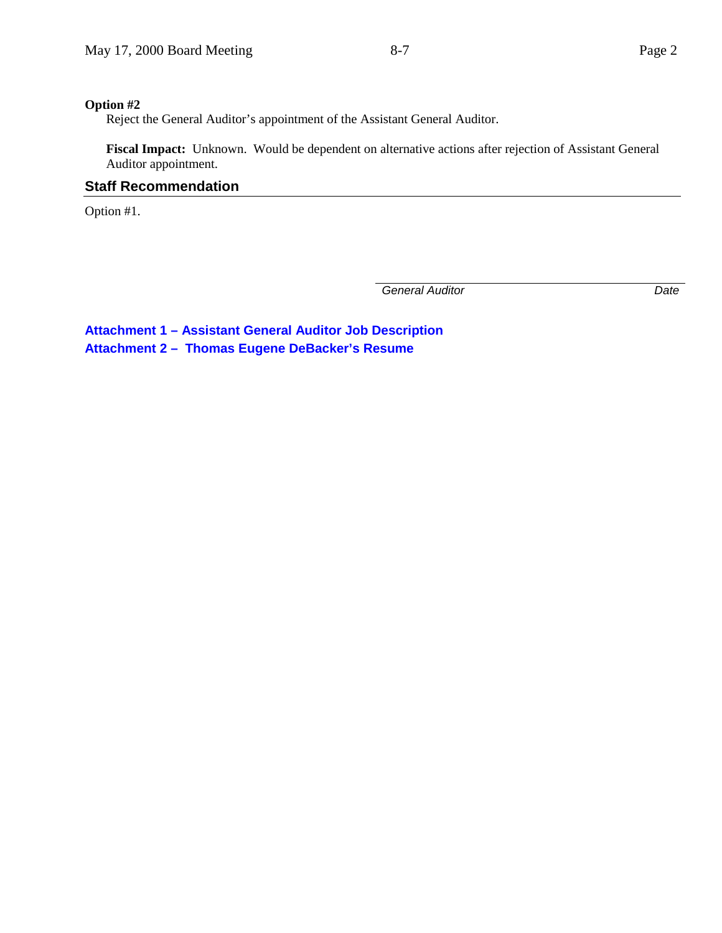## **Option #2**

Reject the General Auditor's appointment of the Assistant General Auditor.

**Fiscal Impact:** Unknown. Would be dependent on alternative actions after rejection of Assistant General Auditor appointment.

# **Staff Recommendation**

Option #1.

*General Auditor Date*

**Attachment 1 – Assistant General Auditor Job Description Attachment 2 – Thomas Eugene DeBacker's Resume**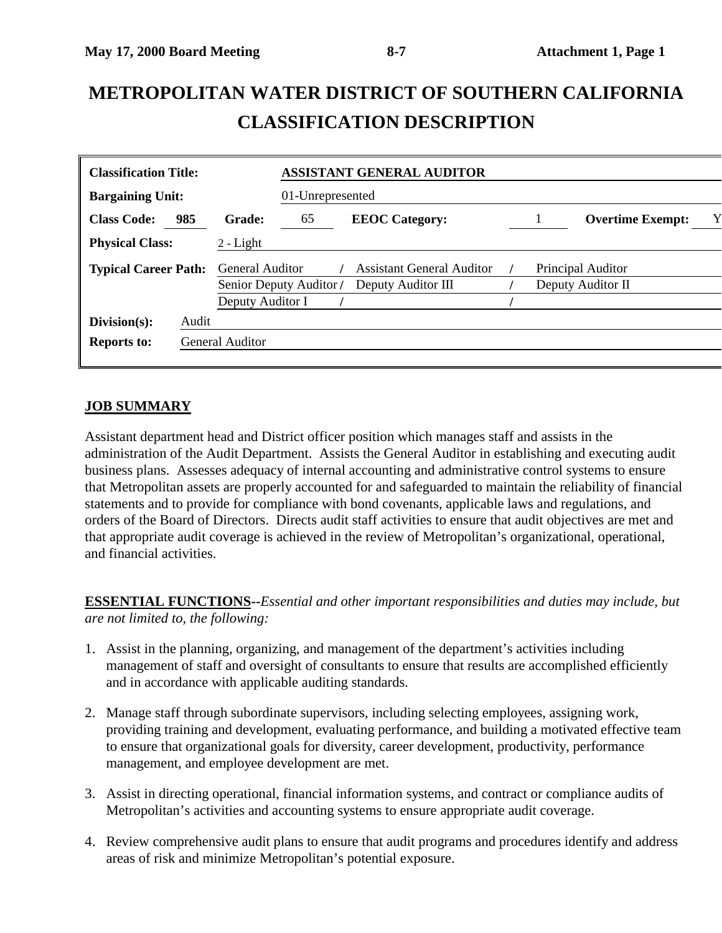# **METROPOLITAN WATER DISTRICT OF SOUTHERN CALIFORNIA CLASSIFICATION DESCRIPTION**

| <b>Classification Title:</b> |                        | <b>ASSISTANT GENERAL AUDITOR</b>                           |                  |                       |  |                   |                         |   |
|------------------------------|------------------------|------------------------------------------------------------|------------------|-----------------------|--|-------------------|-------------------------|---|
| <b>Bargaining Unit:</b>      |                        |                                                            | 01-Unrepresented |                       |  |                   |                         |   |
| <b>Class Code:</b>           | 985                    | <b>Grade:</b>                                              | 65               | <b>EEOC</b> Category: |  |                   | <b>Overtime Exempt:</b> | Y |
| <b>Physical Class:</b>       |                        | $2 - Light$                                                |                  |                       |  |                   |                         |   |
| <b>Typical Career Path:</b>  |                        | <b>General Auditor</b><br><b>Assistant General Auditor</b> |                  |                       |  | Principal Auditor |                         |   |
|                              |                        | Senior Deputy Auditor /<br>Deputy Auditor III              |                  |                       |  | Deputy Auditor II |                         |   |
|                              |                        | Deputy Auditor I                                           |                  |                       |  |                   |                         |   |
| Division(s):                 | Audit                  |                                                            |                  |                       |  |                   |                         |   |
| <b>Reports to:</b>           | <b>General Auditor</b> |                                                            |                  |                       |  |                   |                         |   |
|                              |                        |                                                            |                  |                       |  |                   |                         |   |

# **JOB SUMMARY**

Assistant department head and District officer position which manages staff and assists in the administration of the Audit Department. Assists the General Auditor in establishing and executing audit business plans. Assesses adequacy of internal accounting and administrative control systems to ensure that Metropolitan assets are properly accounted for and safeguarded to maintain the reliability of financial statements and to provide for compliance with bond covenants, applicable laws and regulations, and orders of the Board of Directors. Directs audit staff activities to ensure that audit objectives are met and that appropriate audit coverage is achieved in the review of Metropolitan's organizational, operational, and financial activities.

**ESSENTIAL FUNCTIONS--***Essential and other important responsibilities and duties may include, but are not limited to, the following:*

- 1. Assist in the planning, organizing, and management of the department's activities including management of staff and oversight of consultants to ensure that results are accomplished efficiently and in accordance with applicable auditing standards.
- 2. Manage staff through subordinate supervisors, including selecting employees, assigning work, providing training and development, evaluating performance, and building a motivated effective team to ensure that organizational goals for diversity, career development, productivity, performance management, and employee development are met.
- 3. Assist in directing operational, financial information systems, and contract or compliance audits of Metropolitan's activities and accounting systems to ensure appropriate audit coverage.
- 4. Review comprehensive audit plans to ensure that audit programs and procedures identify and address areas of risk and minimize Metropolitan's potential exposure.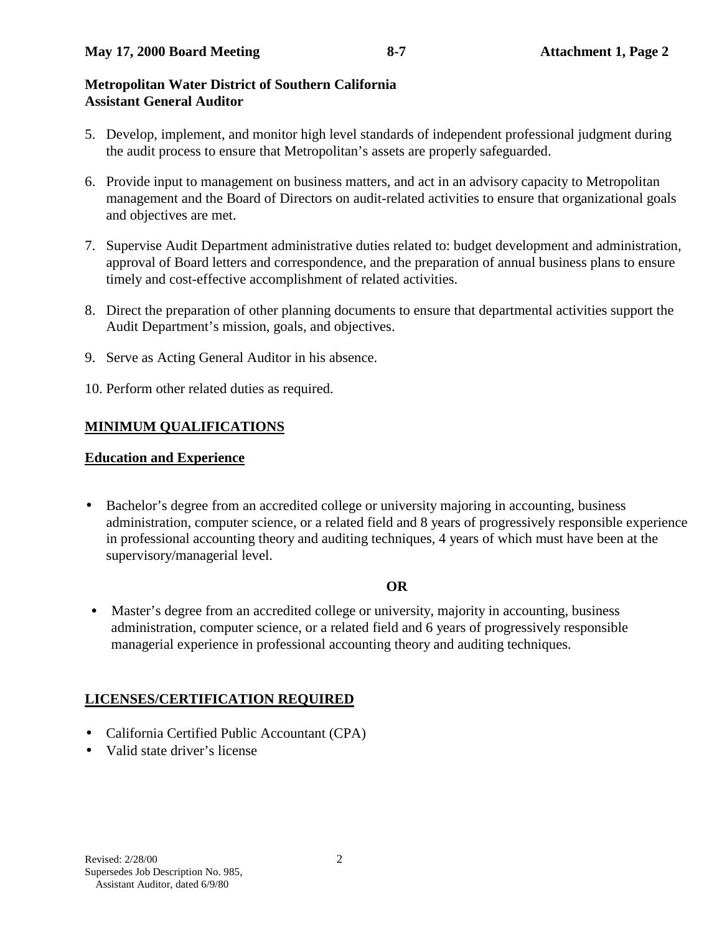# **Metropolitan Water District of Southern California Assistant General Auditor**

- 5. Develop, implement, and monitor high level standards of independent professional judgment during the audit process to ensure that Metropolitan's assets are properly safeguarded.
- 6. Provide input to management on business matters, and act in an advisory capacity to Metropolitan management and the Board of Directors on audit-related activities to ensure that organizational goals and objectives are met.
- 7. Supervise Audit Department administrative duties related to: budget development and administration, approval of Board letters and correspondence, and the preparation of annual business plans to ensure timely and cost-effective accomplishment of related activities.
- 8. Direct the preparation of other planning documents to ensure that departmental activities support the Audit Department's mission, goals, and objectives.
- 9. Serve as Acting General Auditor in his absence.
- 10. Perform other related duties as required.

# **MINIMUM QUALIFICATIONS**

# **Education and Experience**

• Bachelor's degree from an accredited college or university majoring in accounting, business administration, computer science, or a related field and 8 years of progressively responsible experience in professional accounting theory and auditing techniques, 4 years of which must have been at the supervisory/managerial level.

# **OR**

• Master's degree from an accredited college or university, majority in accounting, business administration, computer science, or a related field and 6 years of progressively responsible managerial experience in professional accounting theory and auditing techniques.

# **LICENSES/CERTIFICATION REQUIRED**

- California Certified Public Accountant (CPA)
- Valid state driver's license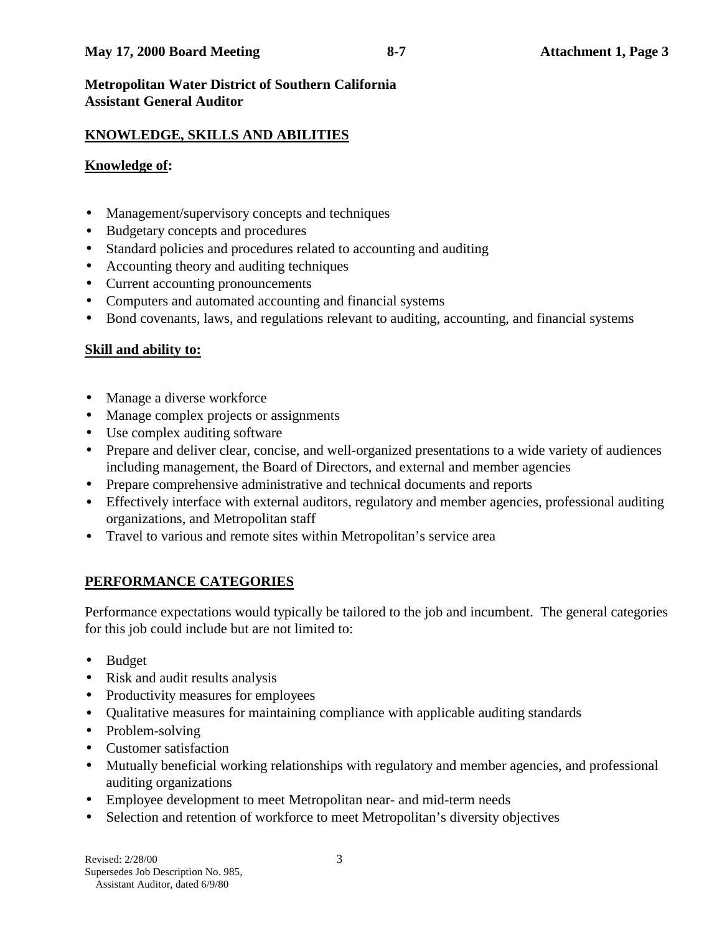# **May 17, 2000 Board Meeting 8-7 Attachment 1, Page 3**

**Metropolitan Water District of Southern California Assistant General Auditor**

# **KNOWLEDGE, SKILLS AND ABILITIES**

# **Knowledge of:**

- Management/supervisory concepts and techniques
- Budgetary concepts and procedures
- Standard policies and procedures related to accounting and auditing
- Accounting theory and auditing techniques
- Current accounting pronouncements
- Computers and automated accounting and financial systems
- Bond covenants, laws, and regulations relevant to auditing, accounting, and financial systems

# **Skill and ability to:**

- Manage a diverse workforce
- Manage complex projects or assignments
- Use complex auditing software
- Prepare and deliver clear, concise, and well-organized presentations to a wide variety of audiences including management, the Board of Directors, and external and member agencies
- Prepare comprehensive administrative and technical documents and reports
- Effectively interface with external auditors, regulatory and member agencies, professional auditing organizations, and Metropolitan staff
- Travel to various and remote sites within Metropolitan's service area

# **PERFORMANCE CATEGORIES**

Performance expectations would typically be tailored to the job and incumbent. The general categories for this job could include but are not limited to:

- Budget
- Risk and audit results analysis
- Productivity measures for employees
- Qualitative measures for maintaining compliance with applicable auditing standards
- Problem-solving
- Customer satisfaction
- Mutually beneficial working relationships with regulatory and member agencies, and professional auditing organizations
- Employee development to meet Metropolitan near- and mid-term needs
- Selection and retention of workforce to meet Metropolitan's diversity objectives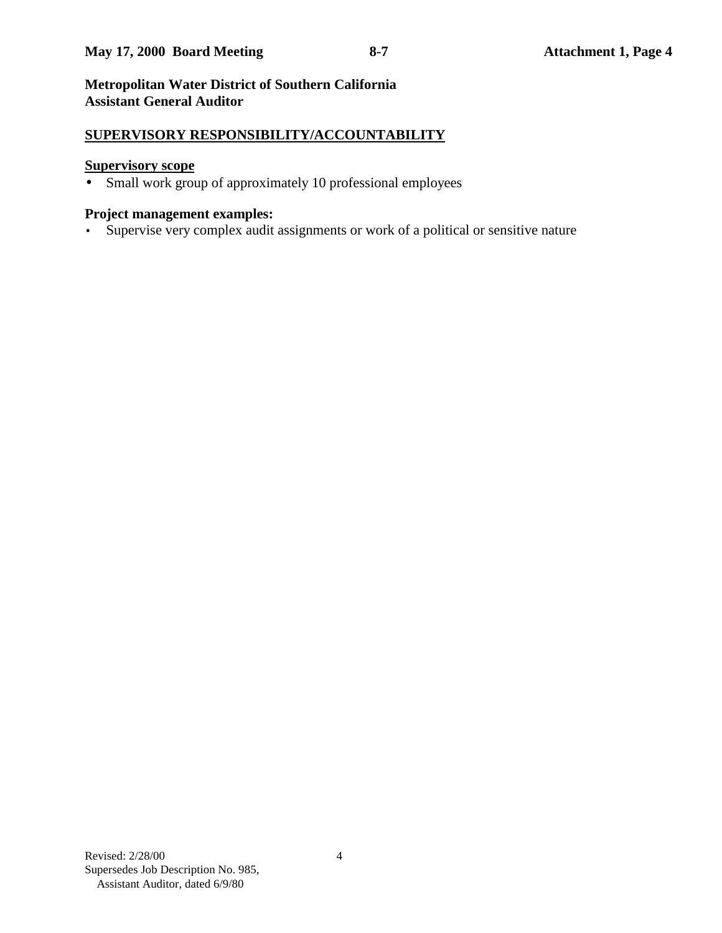# **Metropolitan Water District of Southern California Assistant General Auditor**

# **SUPERVISORY RESPONSIBILITY/ACCOUNTABILITY**

# **Supervisory scope**

• Small work group of approximately 10 professional employees

# **Project management examples:**

• Supervise very complex audit assignments or work of a political or sensitive nature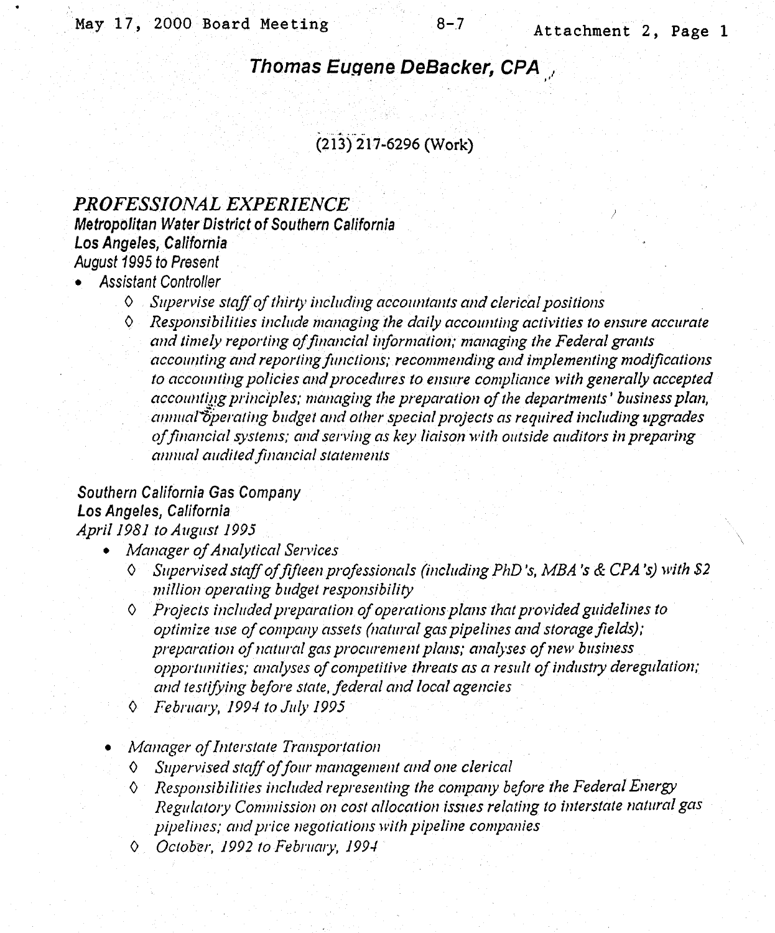# Thomas Eugene DeBacker, CPA,

# $(213)$  217-6296 (Work)

# PROFESSIONAL EXPERIENCE Metropolitan Water District of Southern California Los Angeles, California **August 1995 to Present**

## **Assistant Controller**

- O Supervise staff of thirty including accountants and clerical positions
- $\Diamond$  Responsibilities include managing the daily accounting activities to ensure accurate and timely reporting of financial information; managing the Federal grants accounting and reporting functions; recommending and implementing modifications to accounting policies and procedures to ensure compliance with generally accepted accounting principles; managing the preparation of the departments' business plan, annual Sperating budget and other special projects as required including upgrades of financial systems; and serving as key liaison with outside auditors in preparing annual audited financial statements

# Southern California Gas Company Los Angeles, California April 1981 to August 1995

- Manager of Analytical Services
	- $\Diamond$  Supervised staff of fifteen professionals (including PhD's, MBA's & CPA's) with \$2 million operating budget responsibility
	- $\lozenge$  Projects included preparation of operations plans that provided guidelines to optimize use of company assets (natural gas pipelines and storage fields); preparation of natural gas procurement plans; analyses of new business opportunities; analyses of competitive threats as a result of industry deregulation; and testifying before state, federal and local agencies
	- $\lozenge$  February, 1994 to July 1995
- Manager of Interstate Transportation
	- Supervised staff of four management and one clerical  $\mathsf{O}$
	- $\Diamond$  Responsibilities included representing the company before the Federal Energy Regulatory Commission on cost allocation issues relating to interstate natural gas pipelines; and price negotiations with pipeline companies
	- Q October, 1992 to February, 1994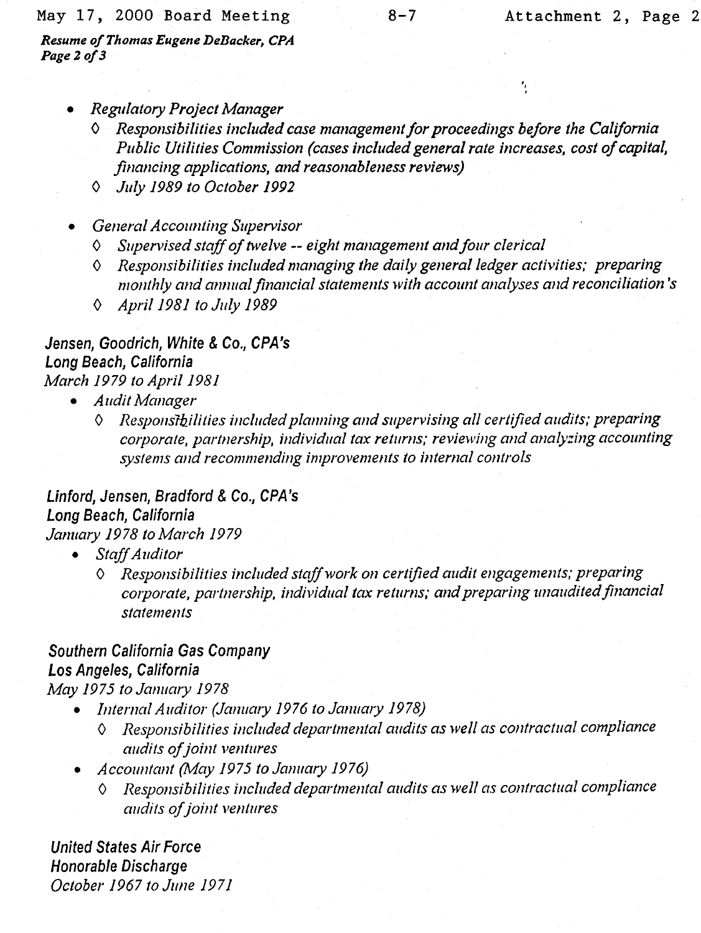#### May 17, 2000 Board Meeting

Resume of Thomas Eugene DeBacker, CPA Page 2 of 3

- Regulatory Project Manager
	- O Responsibilities included case management for proceedings before the California Public Utilities Commission (cases included general rate increases, cost of capital, financing applications, and reasonableness reviews)
	- $\lozenge$  July 1989 to October 1992
- General Accounting Supervisor
	- Supervised staff of twelve -- eight management and four clerical ♦
	- ♦ Responsibilities included managing the daily general ledger activities; preparing monthly and annual financial statements with account analyses and reconciliation's
	- ♦ April 1981 to July 1989

# Jensen, Goodrich, White & Co., CPA's Long Beach, California March 1979 to April 1981

- **Audit Manager** 
	- Responsibilities included planning and supervising all certified audits; preparing  $\mathsf{O}$ corporate, partnership, individual tax returns; reviewing and analyzing accounting systems and recommending improvements to internal controls

# Linford, Jensen, Bradford & Co., CPA's Long Beach, California January 1978 to March 1979

- Staff Auditor
	- Responsibilities included staff work on certified audit engagements; preparing corporate, partnership, individual tax returns; and preparing unaudited financial statements

# Southern California Gas Company Los Angeles, California May 1975 to January 1978

- Internal Auditor (January 1976 to January 1978)
	- Responsibilities included departmental audits as well as contractual compliance ♦ audits of joint ventures
- Accountant (May 1975 to January 1976)
	- Responsibilities included departmental audits as well as contractual compliance ♦ audits of joint ventures

**United States Air Force** Honorable Discharge October 1967 to June 1971